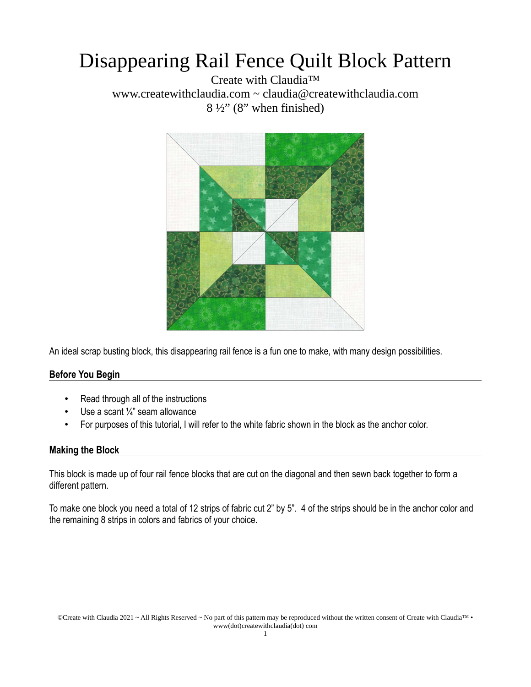## Disappearing Rail Fence Quilt Block Pattern

Create with Claudia™ www.createwithclaudia.com ~ claudia@createwithclaudia.com  $8\frac{1}{2}$ " (8" when finished)



An ideal scrap busting block, this disappearing rail fence is a fun one to make, with many design possibilities.

### **Before You Begin**

- Read through all of the instructions
- Use a scant  $\frac{1}{4}$ " seam allowance
- For purposes of this tutorial, I will refer to the white fabric shown in the block as the anchor color.

#### **Making the Block**

This block is made up of four rail fence blocks that are cut on the diagonal and then sewn back together to form a different pattern.

To make one block you need a total of 12 strips of fabric cut 2" by 5". 4 of the strips should be in the anchor color and the remaining 8 strips in colors and fabrics of your choice.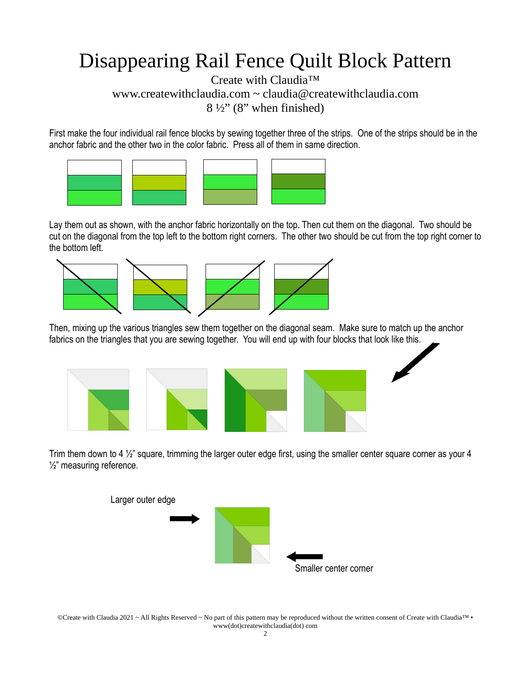# Disappearing Rail Fence Quilt Block Pattern

Create with Claudia™ www.createwithclaudia.com  $\sim$  claudia@createwithclaudia.com  $8\frac{1}{2}$ " (8" when finished)

First make the four individual rail fence blocks by sewing together three of the strips. One of the strips should be in the anchor fabric and the other two in the color fabric. Press all of them in same direction.



Lay them out as shown, with the anchor fabric horizontally on the top. Then cut them on the diagonal. Two should be cut on the diagonal from the top left to the bottom right corners. The other two should be cut from the top right corner to the bottom left.



Then, mixing up the various triangles sew them together on the diagonal seam. Make sure to match up the anchor fabrics on the triangles that you are sewing together. You will end up with four blocks that look like this.



Trim them down to 4  $\frac{1}{2}$ " square, trimming the larger outer edge first, using the smaller center square corner as your 4 ½" measuring reference.



©Create with Claudia 2021 ~ All Rights Reserved ~ No part of this pattern may be reproduced without the written consent of Create with Claudia™ • www(dot)createwithclaudia(dot) com